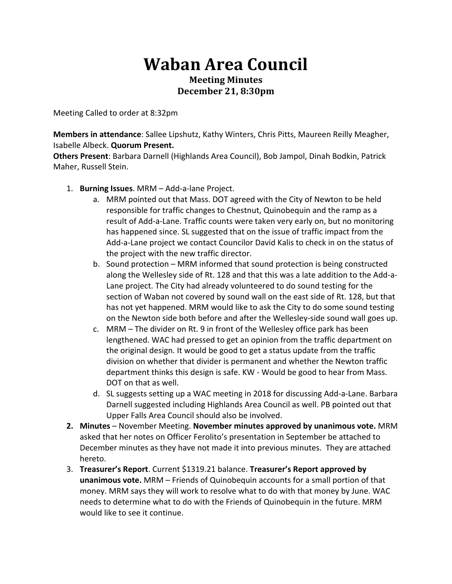## **Waban Area Council Meeting Minutes December 21, 8:30pm**

Meeting Called to order at 8:32pm

**Members in attendance**: Sallee Lipshutz, Kathy Winters, Chris Pitts, Maureen Reilly Meagher, **Isabelle Albeck. Quorum Present.** 

Others Present: Barbara Darnell (Highlands Area Council), Bob Jampol, Dinah Bodkin, Patrick Maher, Russell Stein.

- 1. **Burning Issues**. MRM Add-a-lane Project.
	- a. MRM pointed out that Mass. DOT agreed with the City of Newton to be held responsible for traffic changes to Chestnut, Quinobequin and the ramp as a result of Add-a-Lane. Traffic counts were taken very early on, but no monitoring has happened since. SL suggested that on the issue of traffic impact from the Add-a-Lane project we contact Councilor David Kalis to check in on the status of the project with the new traffic director.
	- b. Sound protection MRM informed that sound protection is being constructed along the Wellesley side of Rt. 128 and that this was a late addition to the Add-a-Lane project. The City had already volunteered to do sound testing for the section of Waban not covered by sound wall on the east side of Rt. 128, but that has not yet happened. MRM would like to ask the City to do some sound testing on the Newton side both before and after the Wellesley-side sound wall goes up.
	- c. MRM The divider on Rt. 9 in front of the Wellesley office park has been lengthened. WAC had pressed to get an opinion from the traffic department on the original design. It would be good to get a status update from the traffic division on whether that divider is permanent and whether the Newton traffic department thinks this design is safe. KW - Would be good to hear from Mass. DOT on that as well.
	- d. SL suggests setting up a WAC meeting in 2018 for discussing Add-a-Lane. Barbara Darnell suggested including Highlands Area Council as well. PB pointed out that Upper Falls Area Council should also be involved.
- **2.** Minutes November Meeting. November minutes approved by unanimous vote. MRM asked that her notes on Officer Ferolito's presentation in September be attached to December minutes as they have not made it into previous minutes. They are attached hereto.
- 3. **Treasurer's Report**. Current \$1319.21 balance. Treasurer's Report approved by **unanimous vote.** MRM – Friends of Quinobequin accounts for a small portion of that money. MRM says they will work to resolve what to do with that money by June. WAC needs to determine what to do with the Friends of Quinobequin in the future. MRM would like to see it continue.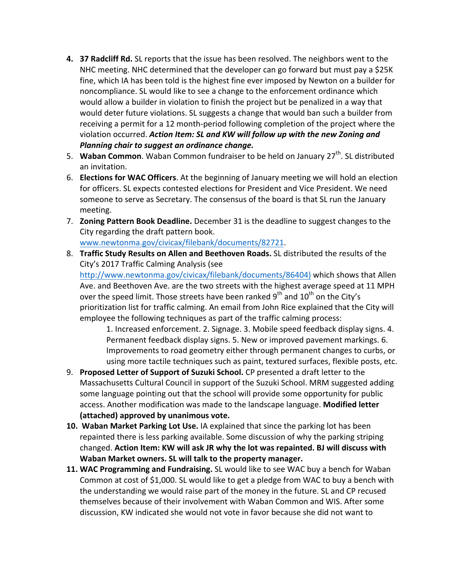- **4. 37 Radcliff Rd.** SL reports that the issue has been resolved. The neighbors went to the NHC meeting. NHC determined that the developer can go forward but must pay a \$25K fine, which IA has been told is the highest fine ever imposed by Newton on a builder for noncompliance. SL would like to see a change to the enforcement ordinance which would allow a builder in violation to finish the project but be penalized in a way that would deter future violations. SL suggests a change that would ban such a builder from receiving a permit for a 12 month-period following completion of the project where the violation occurred. Action Item: SL and KW will follow up with the new Zoning and **Planning chair to suggest an ordinance change.**
- 5. **Waban Common**. Waban Common fundraiser to be held on January 27<sup>th</sup>. SL distributed an invitation.
- 6. **Elections for WAC Officers**. At the beginning of January meeting we will hold an election for officers. SL expects contested elections for President and Vice President. We need someone to serve as Secretary. The consensus of the board is that SL run the January meeting.
- 7. **Zoning Pattern Book Deadline.** December 31 is the deadline to suggest changes to the City regarding the draft pattern book. www.newtonma.gov/civicax/filebank/documents/82721.
- 8. **Traffic Study Results on Allen and Beethoven Roads.** SL distributed the results of the City's 2017 Traffic Calming Analysis (see http://www.newtonma.gov/civicax/filebank/documents/86404) which shows that Allen Ave. and Beethoven Ave. are the two streets with the highest average speed at 11 MPH over the speed limit. Those streets have been ranked  $9<sup>th</sup>$  and  $10<sup>th</sup>$  on the City's prioritization list for traffic calming. An email from John Rice explained that the City will employee the following techniques as part of the traffic calming process: 1. Increased enforcement. 2. Signage. 3. Mobile speed feedback display signs. 4.

Permanent feedback display signs. 5. New or improved pavement markings. 6. Improvements to road geometry either through permanent changes to curbs, or using more tactile techniques such as paint, textured surfaces, flexible posts, etc.

- 9. **Proposed Letter of Support of Suzuki School.** CP presented a draft letter to the Massachusetts Cultural Council in support of the Suzuki School. MRM suggested adding some language pointing out that the school will provide some opportunity for public access. Another modification was made to the landscape language. **Modified letter (attached) approved by unanimous vote.**
- **10. Waban Market Parking Lot Use.** IA explained that since the parking lot has been repainted there is less parking available. Some discussion of why the parking striping changed. Action Item: KW will ask JR why the lot was repainted. BJ will discuss with **Waban Market owners. SL will talk to the property manager.**
- **11. WAC Programming and Fundraising.** SL would like to see WAC buy a bench for Waban Common at cost of \$1,000. SL would like to get a pledge from WAC to buy a bench with the understanding we would raise part of the money in the future. SL and CP recused themselves because of their involvement with Waban Common and WIS. After some discussion, KW indicated she would not vote in favor because she did not want to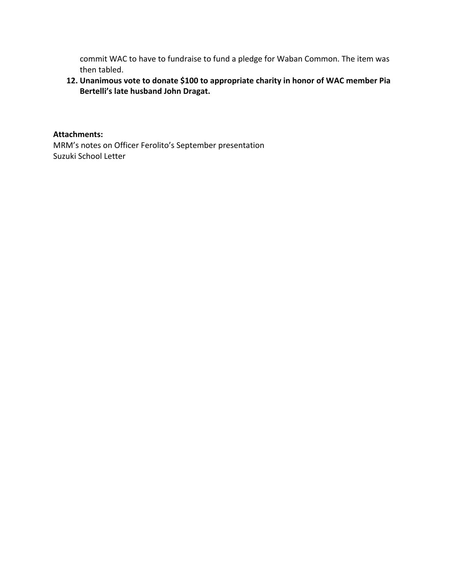commit WAC to have to fundraise to fund a pledge for Waban Common. The item was then tabled.

## 12. Unanimous vote to donate \$100 to appropriate charity in honor of WAC member Pia **Bertelli's late husband John Dragat.**

**Attachments:**

MRM's notes on Officer Ferolito's September presentation Suzuki School Letter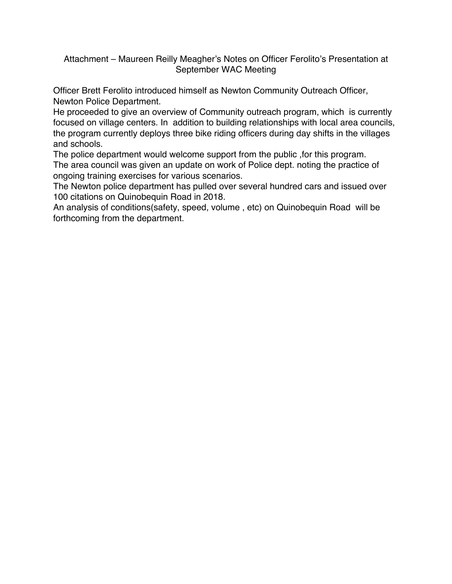## Attachment – Maureen Reilly Meagher's Notes on Officer Ferolito's Presentation at September WAC Meeting

Officer Brett Ferolito introduced himself as Newton Community Outreach Officer, Newton Police Department.

He proceeded to give an overview of Community outreach program, which is currently focused on village centers. In addition to building relationships with local area councils, the program currently deploys three bike riding officers during day shifts in the villages and schools.

The police department would welcome support from the public ,for this program. The area council was given an update on work of Police dept. noting the practice of ongoing training exercises for various scenarios.

The Newton police department has pulled over several hundred cars and issued over 100 citations on Quinobequin Road in 2018.

An analysis of conditions(safety, speed, volume , etc) on Quinobequin Road will be forthcoming from the department.